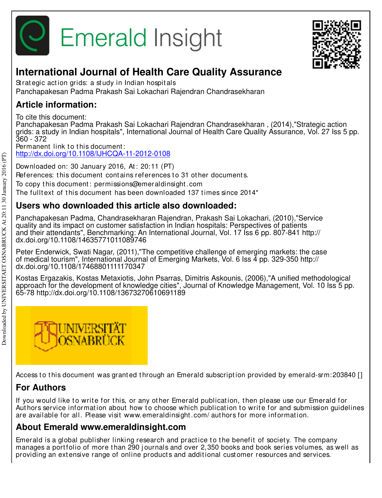



## **International Journal of Health Care Quality Assurance**

Strategic action grids: a study in Indian hospitals Panchapakesan Padma Prakash Sai Lokachari Rajendran Chandrasekharan

## **Article information:**

To cite this document:

Panchapakesan Padma Prakash Sai Lokachari Rajendran Chandrasekharan , (2014),"Strategic action grids: a study in Indian hospitals", International Journal of Health Care Quality Assurance, Vol. 27 Iss 5 pp. 360 - 372

Permanent link to this document: http://dx.doi.org/10.1108/IJHCQA-11-2012-0108

Downloaded on: 30 January 2016, At : 20:11 (PT)

References: this document contains references to 31 other documents.

To copy t his document : permissions@emeraldinsight .com

The fulltext of this document has been downloaded 137 times since  $2014<sup>*</sup>$ 

## **Users who downloaded this article also downloaded:**

Panchapakesan Padma, Chandrasekharan Rajendran, Prakash Sai Lokachari, (2010),"Service quality and its impact on customer satisfaction in Indian hospitals: Perspectives of patients and their attendants", Benchmarking: An International Journal, Vol. 17 Iss 6 pp. 807-841 http:// dx.doi.org/10.1108/14635771011089746

Peter Enderwick, Swati Nagar, (2011),"The competitive challenge of emerging markets: the case of medical tourism", International Journal of Emerging Markets, Vol. 6 Iss 4 pp. 329-350 http:// dx.doi.org/10.1108/17468801111170347

Kostas Ergazakis, Kostas Metaxiotis, John Psarras, Dimitris Askounis, (2006),"A unified methodological approach for the development of knowledge cities", Journal of Knowledge Management, Vol. 10 Iss 5 pp. 65-78 http://dx.doi.org/10.1108/13673270610691189



Access to this document was granted through an Emerald subscription provided by emerald-srm:203840 []

## **For Authors**

If you would like to write for this, or any other Emerald publication, then please use our Emerald for Authors service information about how to choose which publication to write for and submission guidelines are available for all. Please visit www.emeraldinsight .com/ aut hors for more informat ion.

## **About Emerald www.emeraldinsight.com**

Emerald is a global publisher linking research and practice to the benefit of society. The company manages a portfolio of more than 290 journals and over 2,350 books and book series volumes, as well as providing an extensive range of online products and additional customer resources and services.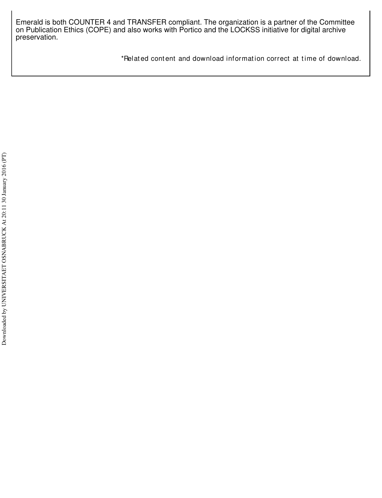Emerald is both COUNTER 4 and TRANSFER compliant. The organization is a partner of the Committee on Publication Ethics (COPE) and also works with Portico and the LOCKSS initiative for digital archive preservation.

\*Relat ed cont ent and download informat ion correct at t ime of download.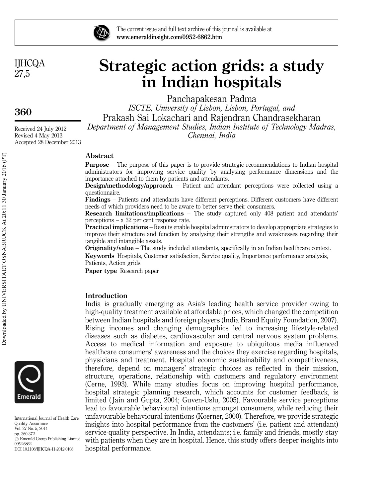

**IJHCQA** 27,5

## 360

Received 24 July 2012 Revised 4 May 2013 Accepted 28 December 2013

# Strategic action grids: a study in Indian hospitals

Panchapakesan Padma

*ISCTE, University of Lisbon, Lisbon, Portugal, and* Prakash Sai Lokachari and Rajendran Chandrasekharan *Department of Management Studies, Indian Institute of Technology Madras, Chennai, India*

#### Abstract

Purpose – The purpose of this paper is to provide strategic recommendations to Indian hospital administrators for improving service quality by analysing performance dimensions and the importance attached to them by patients and attendants.

Design/methodology/approach – Patient and attendant perceptions were collected using a questionnaire.

Findings – Patients and attendants have different perceptions. Different customers have different needs of which providers need to be aware to better serve their consumers.

Research limitations/implications – The study captured only 408 patient and attendants' perceptions – a 32 per cent response rate.

Practical implications – Results enable hospital administrators to develop appropriate strategies to improve their structure and function by analysing their strengths and weaknesses regarding their tangible and intangible assets.

Originality/value – The study included attendants, specifically in an Indian healthcare context. Keywords Hospitals, Customer satisfaction, Service quality, Importance performance analysis,

Patients, Action grids

Paper type Research paper

#### Introduction



International Journal of Health Care Quality Assurance Vol. 27 No. 5, 2014 pp. 360-372  $\odot$  Emerald Group Publishing Limited 0952-6862 DOI 10.1108/IJHCQA-11-2012-0108

India is gradually emerging as Asia's leading health service provider owing to high-quality treatment available at affordable prices, which changed the competition between Indian hospitals and foreign players (India Brand Equity Foundation, 2007). Rising incomes and changing demographics led to increasing lifestyle-related diseases such as diabetes, cardiovascular and central nervous system problems. Access to medical information and exposure to ubiquitous media influenced healthcare consumers' awareness and the choices they exercise regarding hospitals, physicians and treatment. Hospital economic sustainability and competitiveness, therefore, depend on managers' strategic choices as reflected in their mission, structure, operations, relationship with customers and regulatory environment (Cerne, 1993). While many studies focus on improving hospital performance, hospital strategic planning research, which accounts for customer feedback, is limited ( Jain and Gupta, 2004; Guven-Uslu, 2005). Favourable service perceptions lead to favourable behavioural intentions amongst consumers, while reducing their unfavourable behavioural intentions (Koerner, 2000). Therefore, we provide strategic insights into hospital performance from the customers' (i.e. patient and attendant) service-quality perspective. In India, attendants; i.e. family and friends, mostly stay with patients when they are in hospital. Hence, this study offers deeper insights into hospital performance.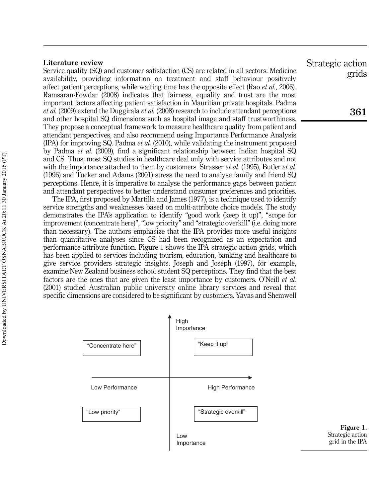#### Literature review

Service quality (SQ) and customer satisfaction (CS) are related in all sectors. Medicine availability, providing information on treatment and staff behaviour positively affect patient perceptions, while waiting time has the opposite effect (Rao *et al.*, 2006). Ramsaran-Fowdar (2008) indicates that fairness, equality and trust are the most important factors affecting patient satisfaction in Mauritian private hospitals. Padma *et al.* (2009) extend the Duggirala *et al.* (2008) research to include attendant perceptions and other hospital SQ dimensions such as hospital image and staff trustworthiness. They propose a conceptual framework to measure healthcare quality from patient and attendant perspectives, and also recommend using Importance Performance Analysis (IPA) for improving SQ. Padma *et al.* (2010), while validating the instrument proposed by Padma *et al.* (2009), find a significant relationship between Indian hospital SQ and CS. Thus, most SQ studies in healthcare deal only with service attributes and not with the importance attached to them by customers. Strasser *et al.* (1995), Butler *et al.* (1996) and Tucker and Adams (2001) stress the need to analyse family and friend SQ perceptions. Hence, it is imperative to analyse the performance gaps between patient and attendant perspectives to better understand consumer preferences and priorities.

The IPA, first proposed by Martilla and James (1977), is a technique used to identify service strengths and weaknesses based on multi-attribute choice models. The study demonstrates the IPA's application to identify "good work (keep it up)", "scope for improvement (concentrate here)", "low priority" and "strategic overkill" (i.e. doing more than necessary). The authors emphasize that the IPA provides more useful insights than quantitative analyses since CS had been recognized as an expectation and performance attribute function. Figure 1 shows the IPA strategic action grids, which has been applied to services including tourism, education, banking and healthcare to give service providers strategic insights. Joseph and Joseph (1997), for example, examine New Zealand business school student SQ perceptions. They find that the best factors are the ones that are given the least importance by customers. O'Neill *et al.* (2001) studied Australian public university online library services and reveal that specific dimensions are considered to be significant by customers. Yavas and Shemwell



Figure 1. Strategic action grid in the IPA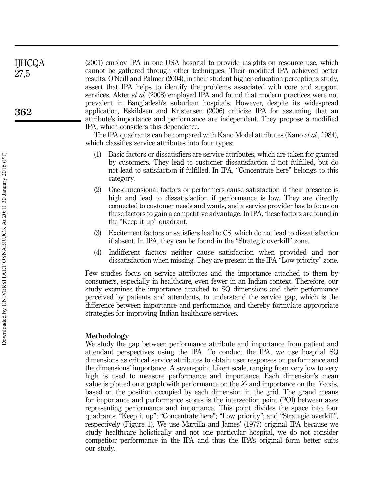(2001) employ IPA in one USA hospital to provide insights on resource use, which cannot be gathered through other techniques. Their modified IPA achieved better results. O'Neill and Palmer (2004), in their student higher-education perceptions study, assert that IPA helps to identify the problems associated with core and support services. Akter *et al.* (2008) employed IPA and found that modern practices were not prevalent in Bangladesh's suburban hospitals. However, despite its widespread application, Eskildsen and Kristensen (2006) criticize IPA for assuming that an attribute's importance and performance are independent. They propose a modified IPA, which considers this dependence.

The IPA quadrants can be compared with Kano Model attributes (Kano *et al.*, 1984), which classifies service attributes into four types:

- (1) Basic factors or dissatisfiers are service attributes, which are taken for granted by customers. They lead to customer dissatisfaction if not fulfilled, but do not lead to satisfaction if fulfilled. In IPA, "Concentrate here" belongs to this category.
- (2) One-dimensional factors or performers cause satisfaction if their presence is high and lead to dissatisfaction if performance is low. They are directly connected to customer needs and wants, and a service provider has to focus on these factors to gain a competitive advantage. In IPA, these factors are found in the "Keep it up" quadrant.
- (3) Excitement factors or satisfiers lead to CS, which do not lead to dissatisfaction if absent. In IPA, they can be found in the "Strategic overkill" zone.
- (4) Indifferent factors neither cause satisfaction when provided and nor dissatisfaction when missing. They are present in the IPA "Low priority" zone.

Few studies focus on service attributes and the importance attached to them by consumers, especially in healthcare, even fewer in an Indian context. Therefore, our study examines the importance attached to SQ dimensions and their performance perceived by patients and attendants, to understand the service gap, which is the difference between importance and performance, and thereby formulate appropriate strategies for improving Indian healthcare services.

#### Methodology

We study the gap between performance attribute and importance from patient and attendant perspectives using the IPA. To conduct the IPA, we use hospital SQ dimensions as critical service attributes to obtain user responses on performance and the dimensions' importance. A seven-point Likert scale, ranging from very low to very high is used to measure performance and importance. Each dimension's mean value is plotted on a graph with performance on the *X*- and importance on the *Y*-axis, based on the position occupied by each dimension in the grid. The grand means for importance and performance scores is the intersection point (POI) between axes representing performance and importance. This point divides the space into four quadrants: "Keep it up"; "Concentrate here"; "Low priority"; and "Strategic overkill", respectively (Figure 1). We use Martilla and James' (1977) original IPA because we study healthcare holistically and not one particular hospital, we do not consider competitor performance in the IPA and thus the IPA's original form better suits our study.

**IJHCQA** 27,5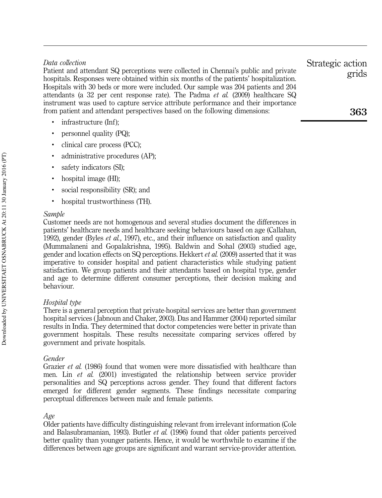#### *Data collection*

Patient and attendant SQ perceptions were collected in Chennai's public and private hospitals. Responses were obtained within six months of the patients' hospitalization. Hospitals with 30 beds or more were included. Our sample was 204 patients and 204 attendants (a 32 per cent response rate). The Padma *et al.* (2009) healthcare SQ instrument was used to capture service attribute performance and their importance from patient and attendant perspectives based on the following dimensions:

- . infrastructure (Inf);
- . personnel quality (PQ);
- . clinical care process (PCC);
- . administrative procedures (AP);
- safety indicators (SI);
- hospital image (HI):
- . social responsibility (SR); and
- hospital trustworthiness *(TH)*.

#### *Sample*

Customer needs are not homogenous and several studies document the differences in patients' healthcare needs and healthcare seeking behaviours based on age (Callahan, 1992), gender (Byles *et al.*, 1997), etc., and their influence on satisfaction and quality (Mummalaneni and Gopalakrishna, 1995). Baldwin and Sohal (2003) studied age, gender and location effects on SQ perceptions. Hekkert *et al.* (2009) asserted that it was imperative to consider hospital and patient characteristics while studying patient satisfaction. We group patients and their attendants based on hospital type, gender and age to determine different consumer perceptions, their decision making and behaviour.

#### *Hospital type*

There is a general perception that private-hospital services are better than government hospital services ( Jabnoun and Chaker, 2003). Das and Hammer (2004) reported similar results in India. They determined that doctor competencies were better in private than government hospitals. These results necessitate comparing services offered by government and private hospitals.

#### *Gender*

Grazier *et al.* (1986) found that women were more dissatisfied with healthcare than men. Lin *et al.* (2001) investigated the relationship between service provider personalities and SQ perceptions across gender. They found that different factors emerged for different gender segments. These findings necessitate comparing perceptual differences between male and female patients.

### *Age*

Older patients have difficulty distinguishing relevant from irrelevant information (Cole and Balasubramanian, 1993). Butler *et al.* (1996) found that older patients perceived better quality than younger patients. Hence, it would be worthwhile to examine if the differences between age groups are significant and warrant service-provider attention.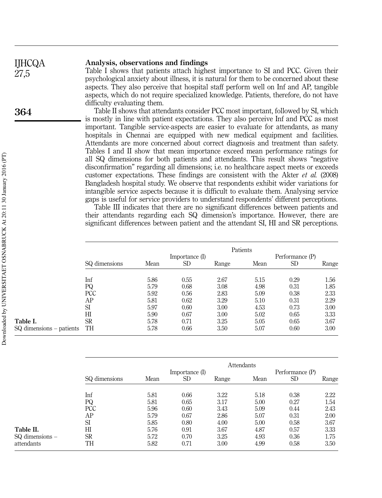#### Analysis, observations and findings **IJHCQA**

Table I shows that patients attach highest importance to SI and PCC. Given their psychological anxiety about illness, it is natural for them to be concerned about these aspects. They also perceive that hospital staff perform well on Inf and AP, tangible aspects, which do not require specialized knowledge. Patients, therefore, do not have difficulty evaluating them.

Table II shows that attendants consider PCC most important, followed by SI, which is mostly in line with patient expectations. They also perceive Inf and PCC as most important. Tangible service-aspects are easier to evaluate for attendants, as many hospitals in Chennai are equipped with new medical equipment and facilities. Attendants are more concerned about correct diagnosis and treatment than safety. Tables I and II show that mean importance exceed mean performance ratings for all SQ dimensions for both patients and attendants. This result shows "negative disconfirmation" regarding all dimensions; i.e. no healthcare aspect meets or exceeds customer expectations. These findings are consistent with the Akter *et al.* (2008) Bangladesh hospital study. We observe that respondents exhibit wider variations for intangible service aspects because it is difficult to evaluate them. Analysing service gaps is useful for service providers to understand respondents' different perceptions.

Table III indicates that there are no significant differences between patients and their attendants regarding each SQ dimension's importance. However, there are significant differences between patient and the attendant SI, HI and SR perceptions.

|               | Patients |                             |       |      |                       |       |  |  |  |
|---------------|----------|-----------------------------|-------|------|-----------------------|-------|--|--|--|
| SQ dimensions | Mean     | Importance (I)<br><b>SD</b> | Range | Mean | Performance (P)<br>SD | Range |  |  |  |
|               |          |                             |       |      |                       |       |  |  |  |
| Inf           | 5.86     | 0.55                        | 2.67  | 5.15 | 0.29                  | 1.56  |  |  |  |
| PQ            | 5.79     | 0.68                        | 3.08  | 4.98 | 0.31                  | 1.85  |  |  |  |
| <b>PCC</b>    | 5.92     | 0.56                        | 2.83  | 5.09 | 0.38                  | 2.33  |  |  |  |
| AP            | 5.81     | 0.62                        | 3.29  | 5.10 | 0.31                  | 2.29  |  |  |  |
| <b>SI</b>     | 5.97     | 0.60                        | 3.00  | 4.53 | 0.73                  | 3.00  |  |  |  |
| ΗΙ            | 5.90     | 0.67                        | 3.00  | 5.02 | 0.65                  | 3.33  |  |  |  |
| SR            | 5.78     | 0.71                        | 3.25  | 5.05 | 0.65                  | 3.67  |  |  |  |
| TH            | 5.78     | 0.66                        | 3.50  | 5.07 | 0.60                  | 3.00  |  |  |  |

Table I.  $SQ$  dimensions – pati

|                                   |                 | Attendants<br>Performance (P)<br>Importance (I) |                 |              |              |              |              |  |  |
|-----------------------------------|-----------------|-------------------------------------------------|-----------------|--------------|--------------|--------------|--------------|--|--|
|                                   | SQ dimensions   | Mean                                            | SD <sub>1</sub> | Range        | Mean         | <b>SD</b>    | Range        |  |  |
|                                   | Inf             | 5.81                                            | 0.66            | 3.22         | 5.18         | 0.38         | 2.22         |  |  |
|                                   | PQ              | 5.81                                            | 0.65            | 3.17         | 5.00         | 0.27         | 1.54         |  |  |
|                                   | <b>PCC</b>      | 5.96                                            | 0.60            | 3.43         | 5.09         | 0.44         | 2.43         |  |  |
|                                   | AP<br><b>SI</b> | 5.79<br>5.85                                    | 0.67<br>0.80    | 2.86<br>4.00 | 5.07<br>5.00 | 0.31<br>0.58 | 2.00<br>3.67 |  |  |
| Table II.                         | $_{\rm HI}$     | 5.76                                            | 0.91            | 3.67         | 4.87         | 0.57         | 3.33         |  |  |
| $SQ$ dimensions $-$<br>attendants | <b>SR</b><br>TH | 5.72<br>5.82                                    | 0.70<br>0.71    | 3.25<br>3.00 | 4.93<br>4.99 | 0.36<br>0.58 | 1.75<br>3.50 |  |  |

364

27,5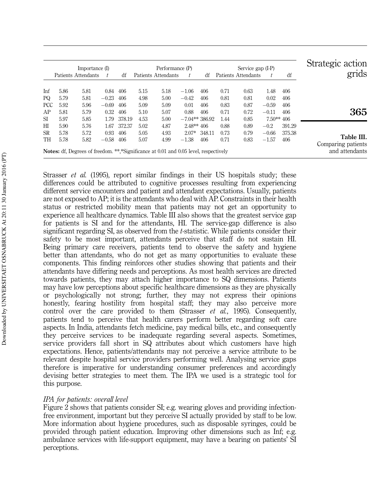|            |      | Importance (I)      |         |        |      | Performance (P)                                                                             |                 |        |      | Service gap (I-P)   |             |        | Strategic action                 |
|------------|------|---------------------|---------|--------|------|---------------------------------------------------------------------------------------------|-----------------|--------|------|---------------------|-------------|--------|----------------------------------|
|            |      | Patients Attendants |         | df     |      | Patients Attendants                                                                         |                 | df     |      | Patients Attendants |             | df     | grids                            |
| Inf        | 5.86 | 5.81                | 0.84    | 406    | 5.15 | 5.18                                                                                        | $-1.06$         | 406    | 0.71 | 0.63                | 1.48        | 406    |                                  |
| PQ         | 5.79 | 5.81                | $-0.23$ | 406    | 4.98 | 5.00                                                                                        | $-0.42$         | 406    | 0.81 | 0.81                | 0.02        | 406    |                                  |
| <b>PCC</b> | 5.92 | 5.96                | $-0.69$ | 406    | 5.09 | 5.09                                                                                        | 0.01            | 406    | 0.83 | 0.87                | $-0.59$     | 406    |                                  |
| AP         | 5.81 | 5.79                | 0.32    | 406    | 5.10 | 5.07                                                                                        | 0.88            | 406    | 0.71 | 0.72                | $-0.11$     | 406    | 365                              |
| SI         | 5.97 | 5.85                | 1.79    | 378.19 | 4.53 | 5.00                                                                                        | $-7.04**386.92$ |        | 1.44 | 0.85                | $7.50**406$ |        |                                  |
| HI         | 5.90 | 5.76                | 1.67    | 372.37 | 5.02 | 4.87                                                                                        | $2.48**406$     |        | 0.88 | 0.89                | $-0.2$      | 391.29 |                                  |
| <b>SR</b>  | 5.78 | 5.72                | 0.93    | 406    | 5.05 | 4.93                                                                                        | $2.07*$         | 348.11 | 0.73 | 0.79                | $-0.66$     | 375.38 |                                  |
| TH         | 5.78 | 5.82                | $-0.58$ | 406    | 5.07 | 4.99                                                                                        | $-1.38$         | 406    | 0.71 | 0.83                | $-1.57$     | 406    | Table III.<br>Comparing patients |
|            |      |                     |         |        |      | <b>Notes:</b> df, Degrees of freedom. **,*Significance at 0.01 and 0.05 level, respectively |                 |        |      |                     |             |        | and attendants                   |

Strasser *et al.* (1995), report similar findings in their US hospitals study; these differences could be attributed to cognitive processes resulting from experiencing different service encounters and patient and attendant expectations. Usually, patients are not exposed to AP; it is the attendants who deal with AP. Constraints in their health status or restricted mobility mean that patients may not get an opportunity to experience all healthcare dynamics. Table III also shows that the greatest service gap for patients is SI and for the attendants, HI. The service-gap difference is also significant regarding SI, as observed from the *t*-statistic. While patients consider their safety to be most important, attendants perceive that staff do not sustain HI. Being primary care receivers, patients tend to observe the safety and hygiene better than attendants, who do not get as many opportunities to evaluate these components. This finding reinforces other studies showing that patients and their attendants have differing needs and perceptions. As most health services are directed towards patients, they may attach higher importance to SQ dimensions. Patients may have low perceptions about specific healthcare dimensions as they are physically or psychologically not strong; further, they may not express their opinions honestly, fearing hostility from hospital staff; they may also perceive more control over the care provided to them (Strasser *et al.*, 1995). Consequently, patients tend to perceive that health carers perform better regarding soft care aspects. In India, attendants fetch medicine, pay medical bills, etc., and consequently they perceive services to be inadequate regarding several aspects. Sometimes, service providers fall short in SQ attributes about which customers have high expectations. Hence, patients/attendants may not perceive a service attribute to be relevant despite hospital service providers performing well. Analysing service gaps therefore is imperative for understanding consumer preferences and accordingly devising better strategies to meet them. The IPA we used is a strategic tool for this purpose.

#### *IPA for patients: overall level*

Figure 2 shows that patients consider SI; e.g. wearing gloves and providing infectionfree environment, important but they perceive SI actually provided by staff to be low. More information about hygiene procedures, such as disposable syringes, could be provided through patient education. Improving other dimensions such as Inf; e.g. ambulance services with life-support equipment, may have a bearing on patients' SI perceptions.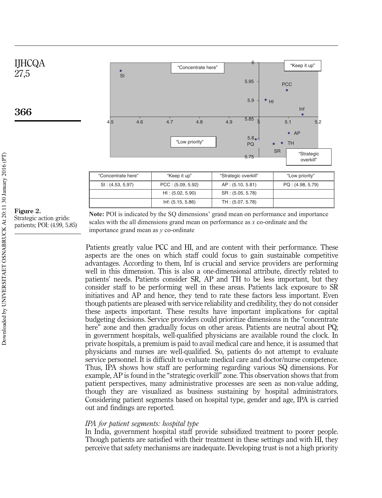

| "Concentrate here" | "Keep it up"      | "Strategic overkill" | "Low priority"   |
|--------------------|-------------------|----------------------|------------------|
| SI: (4.53, 5.97)   | PCC: (5.09, 5.92) | AP: (5.10, 5.81)     | PQ: (4.98, 5.79) |
|                    | HI: (5.02, 5.90)  | SR: (5.05, 5.78)     |                  |
|                    | Inf: (5.15, 5.86) | TH: (5.07, 5.78)     |                  |

#### Figure 2. Strategic action grids: patients; POI: (4.99, 5.85)

366

**IJHCQA** 27,5

> **Note:** POI is indicated by the SQ dimensions' grand mean on performance and importance scales with the all dimensions grand mean on performance as *x* co-ordinate and the importance grand mean as *y* co-ordinate

Patients greatly value PCC and HI, and are content with their performance. These aspects are the ones on which staff could focus to gain sustainable competitive advantages. According to them, Inf is crucial and service providers are performing well in this dimension. This is also a one-dimensional attribute, directly related to patients' needs. Patients consider SR, AP and TH to be less important, but they consider staff to be performing well in these areas. Patients lack exposure to SR initiatives and AP and hence, they tend to rate these factors less important. Even though patients are pleased with service reliability and credibility, they do not consider these aspects important. These results have important implications for capital budgeting decisions. Service providers could prioritize dimensions in the "concentrate here" zone and then gradually focus on other areas. Patients are neutral about PQ; in government hospitals, well-qualified physicians are available round the clock. In private hospitals, a premium is paid to avail medical care and hence, it is assumed that physicians and nurses are well-qualified. So, patients do not attempt to evaluate service personnel. It is difficult to evaluate medical care and doctor/nurse competence. Thus, IPA shows how staff are performing regarding various SQ dimensions. For example, AP is found in the "strategic overkill" zone. This observation shows that from patient perspectives, many administrative processes are seen as non-value adding, though they are visualized as business sustaining by hospital administrators. Considering patient segments based on hospital type, gender and age, IPA is carried out and findings are reported.

#### *IPA for patient segments: hospital type*

In India, government hospital staff provide subsidized treatment to poorer people. Though patients are satisfied with their treatment in these settings and with HI, they perceive that safety mechanisms are inadequate. Developing trust is not a high priority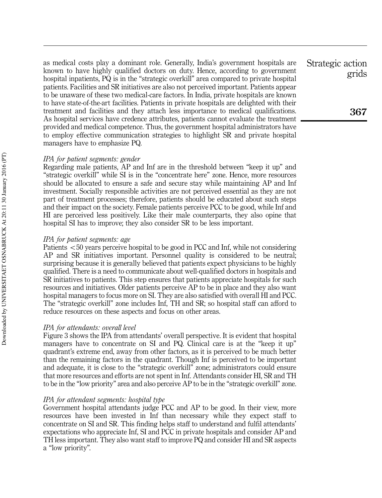as medical costs play a dominant role. Generally, India's government hospitals are known to have highly qualified doctors on duty. Hence, according to government hospital inpatients, PQ is in the "strategic overkill" area compared to private hospital patients. Facilities and SR initiatives are also not perceived important. Patients appear to be unaware of these two medical-care factors. In India, private hospitals are known to have state-of-the-art facilities. Patients in private hospitals are delighted with their treatment and facilities and they attach less importance to medical qualifications. As hospital services have credence attributes, patients cannot evaluate the treatment provided and medical competence. Thus, the government hospital administrators have to employ effective communication strategies to highlight SR and private hospital managers have to emphasize PQ.

#### *IPA for patient segments: gender*

Regarding male patients, AP and Inf are in the threshold between "keep it up" and "strategic overkill" while SI is in the "concentrate here" zone. Hence, more resources should be allocated to ensure a safe and secure stay while maintaining AP and Inf investment. Socially responsible activities are not perceived essential as they are not part of treatment processes; therefore, patients should be educated about such steps and their impact on the society. Female patients perceive PCC to be good, while Inf and HI are perceived less positively. Like their male counterparts, they also opine that hospital SI has to improve; they also consider SR to be less important.

#### *IPA for patient segments: age*

Patients  $<$  50 years perceive hospital to be good in PCC and Inf, while not considering AP and SR initiatives important. Personnel quality is considered to be neutral; surprising because it is generally believed that patients expect physicians to be highly qualified. There is a need to communicate about well-qualified doctors in hospitals and SR initiatives to patients. This step ensures that patients appreciate hospitals for such resources and initiatives. Older patients perceive AP to be in place and they also want hospital managers to focus more on SI. They are also satisfied with overall HI and PCC. The "strategic overkill" zone includes Inf, TH and SR; so hospital staff can afford to reduce resources on these aspects and focus on other areas.

#### *IPA for attendants: overall level*

Figure 3 shows the IPA from attendants' overall perspective. It is evident that hospital managers have to concentrate on SI and PQ. Clinical care is at the "keep it up" quadrant's extreme end, away from other factors, as it is perceived to be much better than the remaining factors in the quadrant. Though Inf is perceived to be important and adequate, it is close to the "strategic overkill" zone; administrators could ensure that more resources and efforts are not spent in Inf. Attendants consider HI, SR and TH to be in the "low priority" area and also perceive AP to be in the "strategic overkill" zone.

#### *IPA for attendant segments: hospital type*

Government hospital attendants judge PCC and AP to be good. In their view, more resources have been invested in Inf than necessary while they expect staff to concentrate on SI and SR. This finding helps staff to understand and fulfil attendants' expectations who appreciate Inf, SI and PCC in private hospitals and consider AP and TH less important. They also want staff to improve PQ and consider HI and SR aspects a "low priority".

Strategic action grids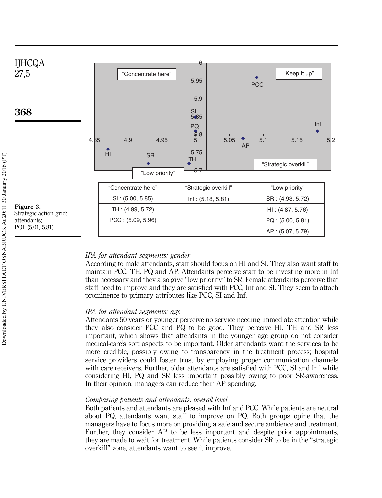

#### *IPA for attendant segments: gender*

According to male attendants, staff should focus on HI and SI. They also want staff to maintain PCC, TH, PQ and AP. Attendants perceive staff to be investing more in Inf than necessary and they also give "low priority" to SR. Female attendants perceive that staff need to improve and they are satisfied with PCC, Inf and SI. They seem to attach prominence to primary attributes like PCC, SI and Inf.

#### *IPA for attendant segments: age*

Attendants 50 years or younger perceive no service needing immediate attention while they also consider PCC and PQ to be good. They perceive HI, TH and SR less important, which shows that attendants in the younger age group do not consider medical-care's soft aspects to be important. Older attendants want the services to be more credible, possibly owing to transparency in the treatment process; hospital service providers could foster trust by employing proper communication channels with care receivers. Further, older attendants are satisfied with PCC, SI and Inf while considering HI, PQ and SR less important possibly owing to poor SR-awareness. In their opinion, managers can reduce their AP spending.

#### *Comparing patients and attendants: overall level*

Both patients and attendants are pleased with Inf and PCC. While patients are neutral about PQ, attendants want staff to improve on PQ. Both groups opine that the managers have to focus more on providing a safe and secure ambience and treatment. Further, they consider AP to be less important and despite prior appointments, they are made to wait for treatment. While patients consider SR to be in the "strategic overkill" zone, attendants want to see it improve.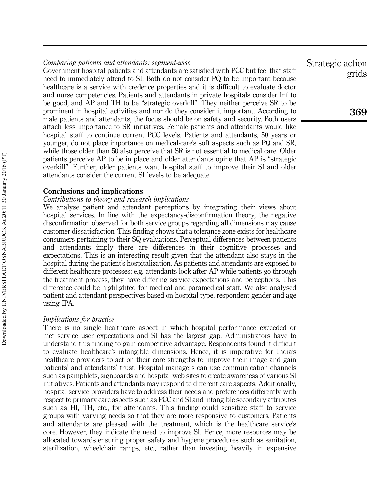#### *Comparing patients and attendants: segment-wise*

Government hospital patients and attendants are satisfied with PCC but feel that staff need to immediately attend to SI. Both do not consider PQ to be important because healthcare is a service with credence properties and it is difficult to evaluate doctor and nurse competencies. Patients and attendants in private hospitals consider Inf to be good, and AP and TH to be "strategic overkill". They neither perceive SR to be prominent in hospital activities and nor do they consider it important. According to male patients and attendants, the focus should be on safety and security. Both users attach less importance to SR initiatives. Female patients and attendants would like hospital staff to continue current PCC levels. Patients and attendants, 50 years or younger, do not place importance on medical-care's soft aspects such as PQ and SR, while those older than 50 also perceive that SR is not essential to medical care. Older patients perceive AP to be in place and older attendants opine that AP is "strategic overkill". Further, older patients want hospital staff to improve their SI and older attendants consider the current SI levels to be adequate.

#### Conclusions and implications

#### *Contributions to theory and research implications*

We analyse patient and attendant perceptions by integrating their views about hospital services. In line with the expectancy-disconfirmation theory, the negative disconfirmation observed for both service groups regarding all dimensions may cause customer dissatisfaction. This finding shows that a tolerance zone exists for healthcare consumers pertaining to their SQ evaluations. Perceptual differences between patients and attendants imply there are differences in their cognitive processes and expectations. This is an interesting result given that the attendant also stays in the hospital during the patient's hospitalization. As patients and attendants are exposed to different healthcare processes; e.g. attendants look after AP while patients go through the treatment process, they have differing service expectations and perceptions. This difference could be highlighted for medical and paramedical staff. We also analysed patient and attendant perspectives based on hospital type, respondent gender and age using IPA.

#### *Implications for practice*

There is no single healthcare aspect in which hospital performance exceeded or met service user expectations and SI has the largest gap. Administrators have to understand this finding to gain competitive advantage. Respondents found it difficult to evaluate healthcare's intangible dimensions. Hence, it is imperative for India's healthcare providers to act on their core strengths to improve their image and gain patients' and attendants' trust. Hospital managers can use communication channels such as pamphlets, signboards and hospital web sites to create awareness of various SI initiatives. Patients and attendants may respond to different care aspects. Additionally, hospital service providers have to address their needs and preferences differently with respect to primary care aspects such as PCC and SI and intangible secondary attributes such as HI, TH, etc., for attendants. This finding could sensitize staff to service groups with varying needs so that they are more responsive to customers. Patients and attendants are pleased with the treatment, which is the healthcare service's core. However, they indicate the need to improve SI. Hence, more resources may be allocated towards ensuring proper safety and hygiene procedures such as sanitation, sterilization, wheelchair ramps, etc., rather than investing heavily in expensive Strategic action grids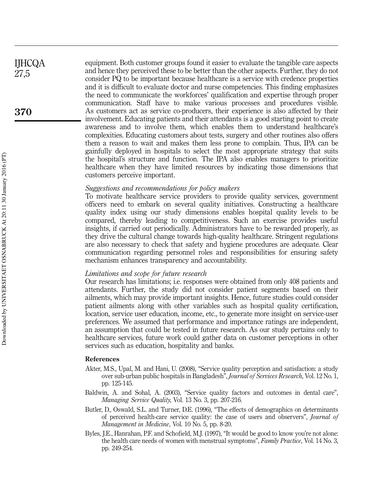equipment. Both customer groups found it easier to evaluate the tangible care aspects and hence they perceived these to be better than the other aspects. Further, they do not consider PQ to be important because healthcare is a service with credence properties and it is difficult to evaluate doctor and nurse competencies. This finding emphasizes the need to communicate the workforces' qualification and expertise through proper communication. Staff have to make various processes and procedures visible. As customers act as service co-producers, their experience is also affected by their involvement. Educating patients and their attendants is a good starting point to create awareness and to involve them, which enables them to understand healthcare's complexities. Educating customers about tests, surgery and other routines also offers them a reason to wait and makes them less prone to complain. Thus, IPA can be gainfully deployed in hospitals to select the most appropriate strategy that suits the hospital's structure and function. The IPA also enables managers to prioritize healthcare when they have limited resources by indicating those dimensions that customers perceive important.

#### *Suggestions and recommendations for policy makers*

To motivate healthcare service providers to provide quality services, government officers need to embark on several quality initiatives. Constructing a healthcare quality index using our study dimensions enables hospital quality levels to be compared, thereby leading to competitiveness. Such an exercise provides useful insights, if carried out periodically. Administrators have to be rewarded properly, as they drive the cultural change towards high-quality healthcare. Stringent regulations are also necessary to check that safety and hygiene procedures are adequate. Clear communication regarding personnel roles and responsibilities for ensuring safety mechanism enhances transparency and accountability.

#### *Limitations and scope for future research*

Our research has limitations; i.e. responses were obtained from only 408 patients and attendants. Further, the study did not consider patient segments based on their ailments, which may provide important insights. Hence, future studies could consider patient ailments along with other variables such as hospital quality certification, location, service user education, income, etc., to generate more insight on service-user preferences. We assumed that performance and importance ratings are independent, an assumption that could be tested in future research. As our study pertains only to healthcare services, future work could gather data on customer perceptions in other services such as education, hospitality and banks.

#### References

- Akter, M.S., Upal, M. and Hani, U. (2008), "Service quality perception and satisfaction: a study over sub-urban public hospitals in Bangladesh", *Journal of Services Research*, Vol. 12 No. 1, pp. 125-145.
- Baldwin, A. and Sohal, A. (2003), "Service quality factors and outcomes in dental care", *Managing Service Quality*, Vol. 13 No. 3, pp. 207-216.
- Butler, D., Oswald, S.L. and Turner, D.E. (1996), "The effects of demographics on determinants of perceived health-care service quality: the case of users and observers", *Journal of Management in Medicine*, Vol. 10 No. 5, pp. 8-20.
- Byles, J.E., Hanrahan, P.F. and Schofield, M.J. (1997), "It would be good to know you're not alone: the health care needs of women with menstrual symptoms", *Family Practice*, Vol. 14 No. 3, pp. 249-254.

**IJHCQA** 27,5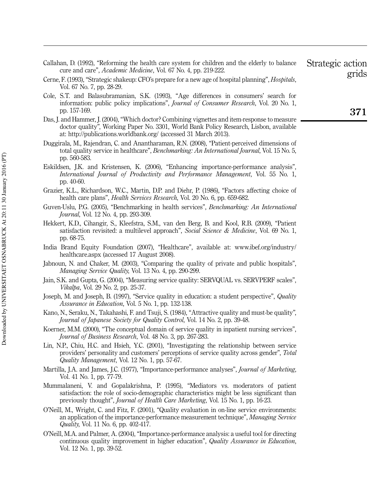- Callahan, D. (1992), "Reforming the health care system for children and the elderly to balance cure and care", *Academic Medicine*, Vol. 67 No. 4, pp. 219-222.
- Cerne, F. (1993), "Strategic shakeup: CFO's prepare for a new age of hospital planning", *Hospitals*, Vol. 67 No. 7, pp. 28-29.
- Cole, S.T. and Balasubramanian, S.K. (1993), "Age differences in consumers' search for information: public policy implications", *Journal of Consumer Research*, Vol. 20 No. 1, pp. 157-169.
- Das, J. and Hammer, J. (2004), "Which doctor? Combining vignettes and item-response to measure doctor quality", Working Paper No. 3301, World Bank Policy Research, Lisbon, available at: http://publications.worldbank.org/ (accessed 31 March 2013).
- Duggirala, M., Rajendran, C. and Anantharaman, R.N. (2008), "Patient-perceived dimensions of total quality service in healthcare", *Benchmarking: An International Journal*, Vol. 15 No. 5, pp. 560-583.
- Eskildsen, J.K. and Kristensen, K. (2006), "Enhancing importance-performance analysis", *International Journal of Productivity and Performance Management*, Vol. 55 No. 1, pp. 40-60.
- Grazier, K.L., Richardson, W.C., Martin, D.P. and Diehr, P. (1986), "Factors affecting choice of health care plans", *Health Services Research*, Vol. 20 No. 6, pp. 659-682.
- Guven-Uslu, P.G. (2005), "Benchmarking in health services", *Benchmarking: An International Journal*, Vol. 12 No. 4, pp. 293-309.
- Hekkert, K.D., Cihangir, S., Kleefstra, S.M., van den Berg, B. and Kool, R.B. (2009), "Patient satisfaction revisited: a multilevel approach", *Social Science & Medicine*, Vol. 69 No. 1, pp. 68-75.
- India Brand Equity Foundation (2007), "Healthcare", available at: www.ibef.org/industry/ healthcare.aspx (accessed 17 August 2008).
- Jabnoun, N. and Chaker, M. (2003), "Comparing the quality of private and public hospitals", *Managing Service Quality*, Vol. 13 No. 4, pp. 290-299.
- Jain, S.K. and Gupta, G. (2004), "Measuring service quality: SERVQUAL vs. SERVPERF scales", *Vikalpa*, Vol. 29 No. 2, pp. 25-37.
- Joseph, M. and Joseph, B. (1997), "Service quality in education: a student perspective", *Quality Assurance in Education*, Vol. 5 No. 1, pp. 132-138.
- Kano, N., Seraku, N., Takahashi, F. and Tsuji, S. (1984), "Attractive quality and must-be quality", *Journal of Japanese Society for Quality Control*, Vol. 14 No. 2, pp. 39-48.
- Koerner, M.M. (2000), "The conceptual domain of service quality in inpatient nursing services", *Journal of Business Research*, Vol. 48 No. 3, pp. 267-283.
- Lin, N.P., Chiu, H.C. and Hsieh, Y.C. (2001), "Investigating the relationship between service providers' personality and customers' perceptions of service quality across gender", *Total Quality Management*, Vol. 12 No. 1, pp. 57-67.
- Martilla, J.A. and James, J.C. (1977), "Importance-performance analyses", *Journal of Marketing*, Vol. 41 No. 1, pp. 77-79.
- Mummalaneni, V. and Gopalakrishna, P. (1995), "Mediators vs. moderators of patient satisfaction: the role of socio-demographic characteristics might be less significant than previously thought", *Journal of Health Care Marketing*, Vol. 15 No. 1, pp. 16-23.
- O'Neill, M., Wright, C. and Fitz, F. (2001), "Quality evaluation in on-line service environments: an application of the importance-performance measurement technique", *Managing Service Quality*, Vol. 11 No. 6, pp. 402-417.
- O'Neill, M.A. and Palmer, A. (2004), "Importance-performance analysis: a useful tool for directing continuous quality improvement in higher education", *Quality Assurance in Education*, Vol. 12 No. 1, pp. 39-52.

371

grids

Strategic action